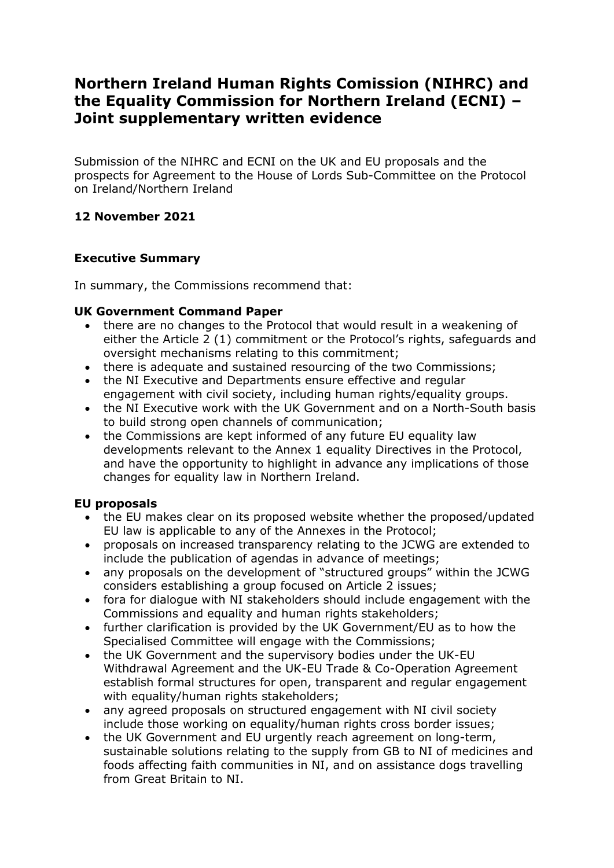# **Northern Ireland Human Rights Comission (NIHRC) and the Equality Commission for Northern Ireland (ECNI) – Joint supplementary written evidence**

Submission of the NIHRC and ECNI on the UK and EU proposals and the prospects for Agreement to the House of Lords Sub-Committee on the Protocol on Ireland/Northern Ireland

# **12 November 2021**

# **Executive Summary**

In summary, the Commissions recommend that:

# **UK Government Command Paper**

- there are no changes to the Protocol that would result in a weakening of either the Article 2 (1) commitment or the Protocol's rights, safeguards and oversight mechanisms relating to this commitment;
- there is adequate and sustained resourcing of the two Commissions;
- the NI Executive and Departments ensure effective and regular engagement with civil society, including human rights/equality groups.
- the NI Executive work with the UK Government and on a North-South basis to build strong open channels of communication;
- the Commissions are kept informed of any future EU equality law developments relevant to the Annex 1 equality Directives in the Protocol, and have the opportunity to highlight in advance any implications of those changes for equality law in Northern Ireland.

# **EU proposals**

- the EU makes clear on its proposed website whether the proposed/updated EU law is applicable to any of the Annexes in the Protocol;
- proposals on increased transparency relating to the JCWG are extended to include the publication of agendas in advance of meetings;
- any proposals on the development of "structured groups" within the JCWG considers establishing a group focused on Article 2 issues;
- fora for dialogue with NI stakeholders should include engagement with the Commissions and equality and human rights stakeholders;
- further clarification is provided by the UK Government/EU as to how the Specialised Committee will engage with the Commissions;
- the UK Government and the supervisory bodies under the UK-EU Withdrawal Agreement and the UK-EU Trade & Co-Operation Agreement establish formal structures for open, transparent and regular engagement with equality/human rights stakeholders;
- any agreed proposals on structured engagement with NI civil society include those working on equality/human rights cross border issues;
- the UK Government and EU urgently reach agreement on long-term, sustainable solutions relating to the supply from GB to NI of medicines and foods affecting faith communities in NI, and on assistance dogs travelling from Great Britain to NI.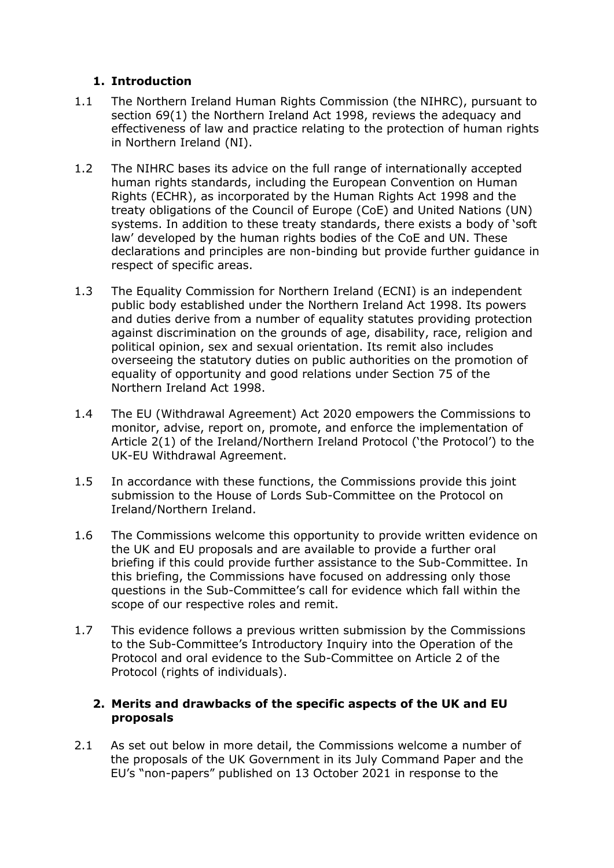# **1. Introduction**

- 1.1 The Northern Ireland Human Rights Commission (the NIHRC), pursuant to section 69(1) the Northern Ireland Act 1998, reviews the adequacy and effectiveness of law and practice relating to the protection of human rights in Northern Ireland (NI).
- 1.2 The NIHRC bases its advice on the full range of internationally accepted human rights standards, including the European Convention on Human Rights (ECHR), as incorporated by the Human Rights Act 1998 and the treaty obligations of the Council of Europe (CoE) and United Nations (UN) systems. In addition to these treaty standards, there exists a body of 'soft law' developed by the human rights bodies of the CoE and UN. These declarations and principles are non-binding but provide further guidance in respect of specific areas.
- 1.3 The Equality Commission for Northern Ireland (ECNI) is an independent public body established under the Northern Ireland Act 1998. Its powers and duties derive from a number of equality statutes providing protection against discrimination on the grounds of age, disability, race, religion and political opinion, sex and sexual orientation. Its remit also includes overseeing the statutory duties on public authorities on the promotion of equality of opportunity and good relations under Section 75 of the Northern Ireland Act 1998.
- 1.4 The EU (Withdrawal Agreement) Act 2020 empowers the Commissions to monitor, advise, report on, promote, and enforce the implementation of Article 2(1) of the Ireland/Northern Ireland Protocol ('the Protocol') to the UK-EU Withdrawal Agreement.
- 1.5 In accordance with these functions, the Commissions provide this joint submission to the House of Lords Sub-Committee on the Protocol on Ireland/Northern Ireland.
- 1.6 The Commissions welcome this opportunity to provide written evidence on the UK and EU proposals and are available to provide a further oral briefing if this could provide further assistance to the Sub-Committee. In this briefing, the Commissions have focused on addressing only those questions in the Sub-Committee's call for evidence which fall within the scope of our respective roles and remit.
- 1.7 This evidence follows a previous written submission by the Commissions to the Sub-Committee's Introductory Inquiry into the Operation of the Protocol and oral evidence to the Sub-Committee on Article 2 of the Protocol (rights of individuals).

# **2. Merits and drawbacks of the specific aspects of the UK and EU proposals**

2.1 As set out below in more detail, the Commissions welcome a number of the proposals of the UK Government in its July Command Paper and the EU's "non-papers" published on 13 October 2021 in response to the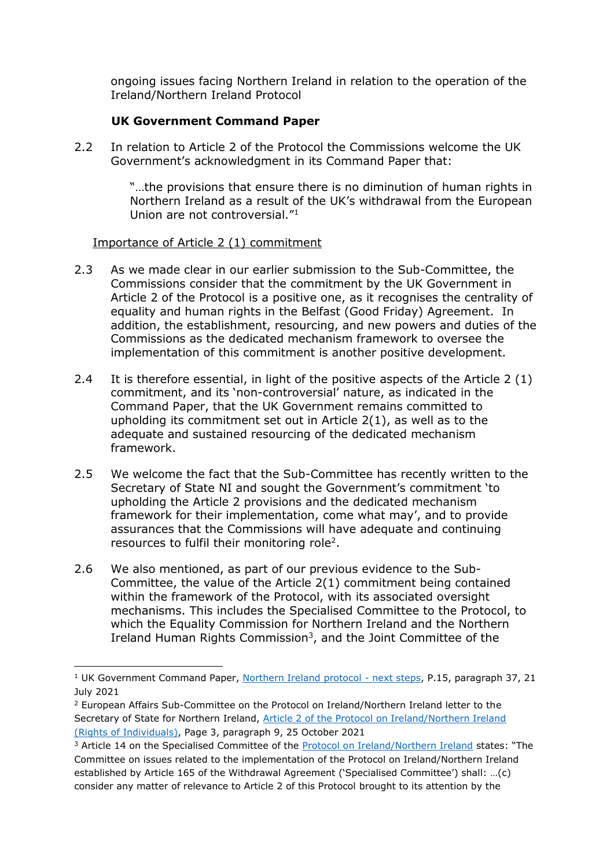ongoing issues facing Northern Ireland in relation to the operation of the Ireland/Northern Ireland Protocol

# **UK Government Command Paper**

2.2 In relation to Article 2 of the Protocol the Commissions welcome the UK Government's acknowledgment in its Command Paper that:

> "…the provisions that ensure there is no diminution of human rights in Northern Ireland as a result of the UK's withdrawal from the European Union are not controversial."<sup>1</sup>

# Importance of Article 2 (1) commitment

1

- 2.3 As we made clear in our earlier submission to the Sub-Committee, the Commissions consider that the commitment by the UK Government in Article 2 of the Protocol is a positive one, as it recognises the centrality of equality and human rights in the Belfast (Good Friday) Agreement. In addition, the establishment, resourcing, and new powers and duties of the Commissions as the dedicated mechanism framework to oversee the implementation of this commitment is another positive development.
- 2.4 It is therefore essential, in light of the positive aspects of the Article 2 (1) commitment, and its 'non-controversial' nature, as indicated in the Command Paper, that the UK Government remains committed to upholding its commitment set out in Article 2(1), as well as to the adequate and sustained resourcing of the dedicated mechanism framework.
- 2.5 We welcome the fact that the Sub-Committee has recently written to the Secretary of State NI and sought the Government's commitment 'to upholding the Article 2 provisions and the dedicated mechanism framework for their implementation, come what may', and to provide assurances that the Commissions will have adequate and continuing resources to fulfil their monitoring role<sup>2</sup>.
- 2.6 We also mentioned, as part of our previous evidence to the Sub-Committee, the value of the Article 2(1) commitment being contained within the framework of the Protocol, with its associated oversight mechanisms. This includes the Specialised Committee to the Protocol, to which the Equality Commission for Northern Ireland and the Northern Ireland Human Rights Commission<sup>3</sup>, and the Joint Committee of the

<sup>&</sup>lt;sup>1</sup> UK Government Command Paper, [Northern Ireland protocol -](https://www.gov.uk/government/publications/northern-ireland-protocol-next-steps) next steps, P.15, paragraph 37, 21 July 2021

<sup>2</sup> European Affairs Sub-Committee on the Protocol on Ireland/Northern Ireland letter to the Secretary of State for Northern Ireland, [Article 2 of the Protocol on Ireland/Northern Ireland](https://committees.parliament.uk/publications/7641/documents/79851/default/)  [\(Rights of Individuals\),](https://committees.parliament.uk/publications/7641/documents/79851/default/) Page 3, paragraph 9, 25 October 2021

<sup>&</sup>lt;sup>3</sup> Article 14 on the Specialised Committee of the **Protocol on Ireland/Northern Ireland** states: "The Committee on issues related to the implementation of the Protocol on Ireland/Northern Ireland established by Article 165 of the Withdrawal Agreement ('Specialised Committee') shall: …(c) consider any matter of relevance to Article 2 of this Protocol brought to its attention by the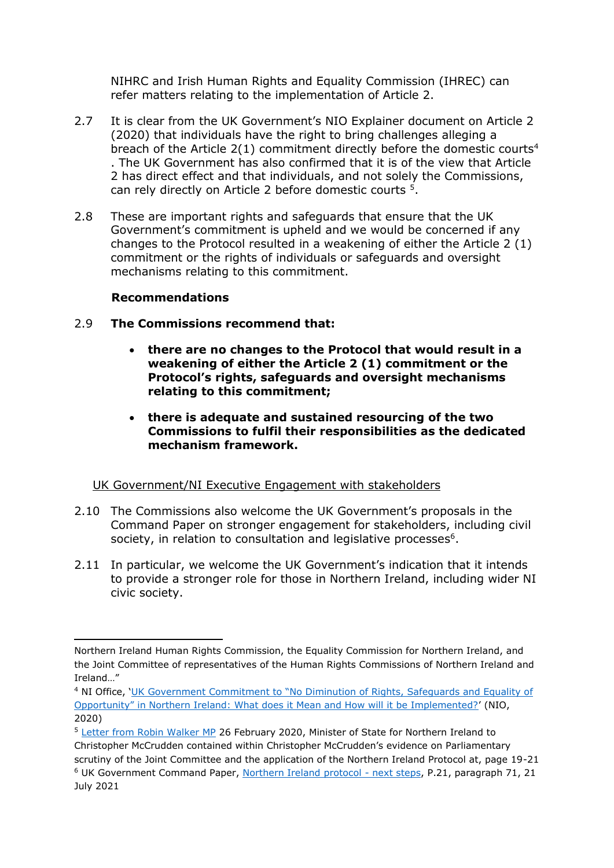NIHRC and Irish Human Rights and Equality Commission (IHREC) can refer matters relating to the implementation of Article 2.

- 2.7 It is clear from the UK Government's NIO Explainer document on Article 2 (2020) that individuals have the right to bring challenges alleging a breach of the Article  $2(1)$  commitment directly before the domestic courts<sup>4</sup> . The UK Government has also confirmed that it is of the view that Article 2 has direct effect and that individuals, and not solely the Commissions, can rely directly on Article 2 before domestic courts <sup>5</sup> .
- 2.8 These are important rights and safeguards that ensure that the UK Government's commitment is upheld and we would be concerned if any changes to the Protocol resulted in a weakening of either the Article 2 (1) commitment or the rights of individuals or safeguards and oversight mechanisms relating to this commitment.

# **Recommendations**

 $\overline{a}$ 

- 2.9 **The Commissions recommend that:**
	- **there are no changes to the Protocol that would result in a weakening of either the Article 2 (1) commitment or the Protocol's rights, safeguards and oversight mechanisms relating to this commitment;**
	- **there is adequate and sustained resourcing of the two Commissions to fulfil their responsibilities as the dedicated mechanism framework.**

# UK Government/NI Executive Engagement with stakeholders

- 2.10 The Commissions also welcome the UK Government's proposals in the Command Paper on stronger engagement for stakeholders, including civil society, in relation to consultation and legislative processes<sup>6</sup>.
- 2.11 In particular, we welcome the UK Government's indication that it intends to provide a stronger role for those in Northern Ireland, including wider NI civic society.

Northern Ireland Human Rights Commission, the Equality Commission for Northern Ireland, and the Joint Committee of representatives of the Human Rights Commissions of Northern Ireland and Ireland…"

<sup>4</sup> NI Office, 'UK Government Commitmen[t to "No Diminution of Rights, Safeguards and Equality of](https://assets.publishing.service.gov.uk/government/uploads/system/uploads/attachment_data/file/907682/Explainer__UK_Government_commitment_to_no_diminution_of_rights__safeguards_and_equality_of_opportunity_in_Northern_Ireland.pdf)  [Opportunity" in Northern Ireland: What does it Mean and How will it be Implemented?'](https://assets.publishing.service.gov.uk/government/uploads/system/uploads/attachment_data/file/907682/Explainer__UK_Government_commitment_to_no_diminution_of_rights__safeguards_and_equality_of_opportunity_in_Northern_Ireland.pdf) (NIO, 2020)

<sup>5</sup> [Letter from Robin Walker MP](https://committees.parliament.uk/writtenevidence/10145/default/) 26 February 2020, Minister of State for Northern Ireland to Christopher McCrudden contained within Christopher McCrudden's evidence on Parliamentary scrutiny of the Joint Committee and the application of the Northern Ireland Protocol at, page 19-21 <sup>6</sup> UK Government Command Paper, [Northern Ireland protocol -](https://www.gov.uk/government/publications/northern-ireland-protocol-next-steps) next steps, P.21, paragraph 71, 21 July 2021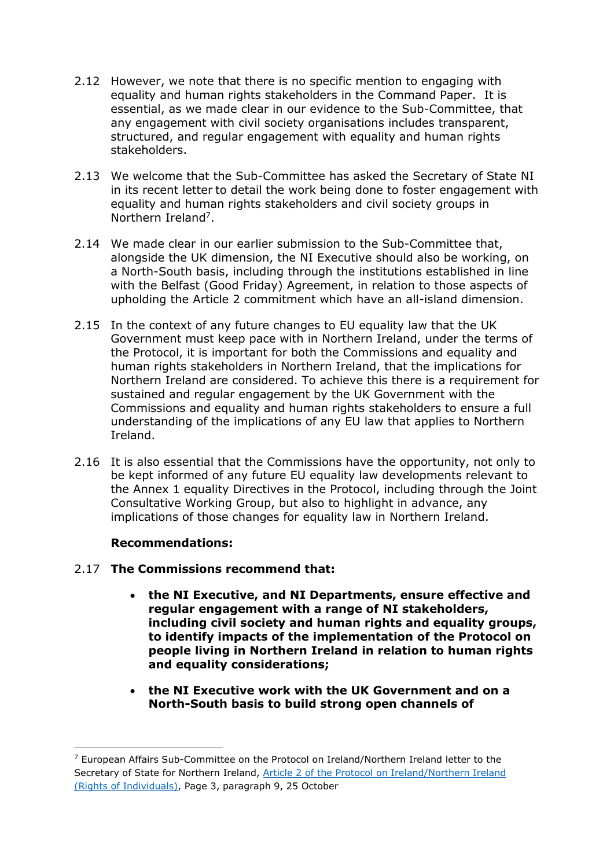- 2.12 However, we note that there is no specific mention to engaging with equality and human rights stakeholders in the Command Paper. It is essential, as we made clear in our evidence to the Sub-Committee, that any engagement with civil society organisations includes transparent, structured, and regular engagement with equality and human rights stakeholders.
- 2.13 We welcome that the Sub-Committee has asked the Secretary of State NI in its recent letter to detail the work being done to foster engagement with equality and human rights stakeholders and civil society groups in Northern Ireland<sup>7</sup>.
- 2.14 We made clear in our earlier submission to the Sub-Committee that, alongside the UK dimension, the NI Executive should also be working, on a North-South basis, including through the institutions established in line with the Belfast (Good Friday) Agreement, in relation to those aspects of upholding the Article 2 commitment which have an all-island dimension.
- 2.15 In the context of any future changes to EU equality law that the UK Government must keep pace with in Northern Ireland, under the terms of the Protocol, it is important for both the Commissions and equality and human rights stakeholders in Northern Ireland, that the implications for Northern Ireland are considered. To achieve this there is a requirement for sustained and regular engagement by the UK Government with the Commissions and equality and human rights stakeholders to ensure a full understanding of the implications of any EU law that applies to Northern Ireland.
- 2.16 It is also essential that the Commissions have the opportunity, not only to be kept informed of any future EU equality law developments relevant to the Annex 1 equality Directives in the Protocol, including through the Joint Consultative Working Group, but also to highlight in advance, any implications of those changes for equality law in Northern Ireland.

# **Recommendations:**

**.** 

- 2.17 **The Commissions recommend that:**
	- **the NI Executive, and NI Departments, ensure effective and regular engagement with a range of NI stakeholders, including civil society and human rights and equality groups, to identify impacts of the implementation of the Protocol on people living in Northern Ireland in relation to human rights and equality considerations;**
	- **the NI Executive work with the UK Government and on a North-South basis to build strong open channels of**

<sup>7</sup> European Affairs Sub-Committee on the Protocol on Ireland/Northern Ireland letter to the Secretary of State for Northern Ireland, [Article 2 of the Protocol on Ireland/Northern Ireland](https://committees.parliament.uk/publications/7641/documents/79851/default/)  [\(Rights of Individuals\),](https://committees.parliament.uk/publications/7641/documents/79851/default/) Page 3, paragraph 9, 25 October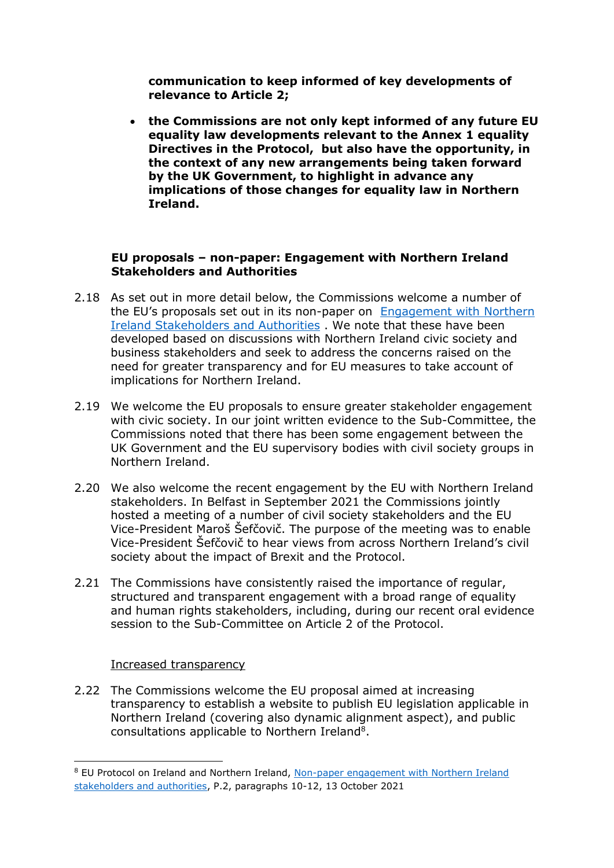**communication to keep informed of key developments of relevance to Article 2;** 

 **the Commissions are not only kept informed of any future EU equality law developments relevant to the Annex 1 equality Directives in the Protocol, but also have the opportunity, in the context of any new arrangements being taken forward by the UK Government, to highlight in advance any implications of those changes for equality law in Northern Ireland.** 

# **EU proposals – non-paper: Engagement with Northern Ireland Stakeholders and Authorities**

- 2.18 As set out in more detail below, the Commissions welcome a number of the EU's proposals set out in its non-paper on [Engagement with Northern](https://ec.europa.eu/info/system/files/attachment_iv_ni_participation_non-paper.pdf)  [Ireland Stakeholders and Authorities](https://ec.europa.eu/info/system/files/attachment_iv_ni_participation_non-paper.pdf) . We note that these have been developed based on discussions with Northern Ireland civic society and business stakeholders and seek to address the concerns raised on the need for greater transparency and for EU measures to take account of implications for Northern Ireland.
- 2.19 We welcome the EU proposals to ensure greater stakeholder engagement with civic society. In our joint written evidence to the Sub-Committee, the Commissions noted that there has been some engagement between the UK Government and the EU supervisory bodies with civil society groups in Northern Ireland.
- 2.20 We also welcome the recent engagement by the EU with Northern Ireland stakeholders. In Belfast in September 2021 the Commissions jointly hosted a meeting of a number of civil society stakeholders and the EU Vice-President Maroš Šefčovič. The purpose of the meeting was to enable Vice-President Šefčovič to hear views from across Northern Ireland's civil society about the impact of Brexit and the Protocol.
- 2.21 The Commissions have consistently raised the importance of regular, structured and transparent engagement with a broad range of equality and human rights stakeholders, including, during our recent oral evidence session to the Sub-Committee on Article 2 of the Protocol.

#### Increased transparency

**.** 

2.22 The Commissions welcome the EU proposal aimed at increasing transparency to establish a website to publish EU legislation applicable in Northern Ireland (covering also dynamic alignment aspect), and public consultations applicable to Northern Ireland<sup>8</sup>.

<sup>&</sup>lt;sup>8</sup> EU Protocol on Ireland and Northern Ireland, Non-paper engagement with Northern Ireland [stakeholders and authorities,](https://ec.europa.eu/info/system/files/attachment_iv_ni_participation_non-paper.pdf) P.2, paragraphs 10-12, 13 October 2021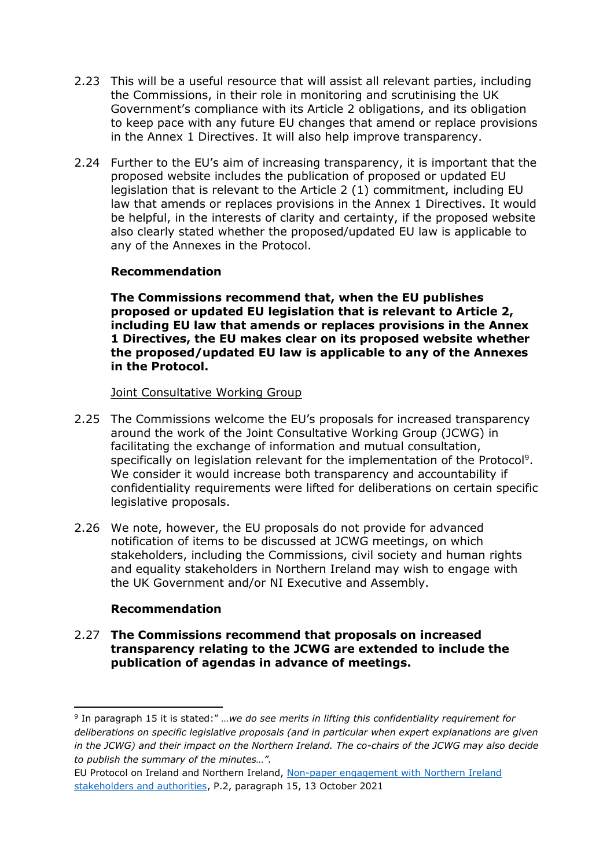- 2.23 This will be a useful resource that will assist all relevant parties, including the Commissions, in their role in monitoring and scrutinising the UK Government's compliance with its Article 2 obligations, and its obligation to keep pace with any future EU changes that amend or replace provisions in the Annex 1 Directives. It will also help improve transparency.
- 2.24 Further to the EU's aim of increasing transparency, it is important that the proposed website includes the publication of proposed or updated EU legislation that is relevant to the Article 2 (1) commitment, including EU law that amends or replaces provisions in the Annex 1 Directives. It would be helpful, in the interests of clarity and certainty, if the proposed website also clearly stated whether the proposed/updated EU law is applicable to any of the Annexes in the Protocol.

#### **Recommendation**

**The Commissions recommend that, when the EU publishes proposed or updated EU legislation that is relevant to Article 2, including EU law that amends or replaces provisions in the Annex 1 Directives, the EU makes clear on its proposed website whether the proposed/updated EU law is applicable to any of the Annexes in the Protocol.** 

#### Joint Consultative Working Group

- 2.25 The Commissions welcome the EU's proposals for increased transparency around the work of the Joint Consultative Working Group (JCWG) in facilitating the exchange of information and mutual consultation, specifically on legislation relevant for the implementation of the Protocol<sup>9</sup>. We consider it would increase both transparency and accountability if confidentiality requirements were lifted for deliberations on certain specific legislative proposals.
- 2.26 We note, however, the EU proposals do not provide for advanced notification of items to be discussed at JCWG meetings, on which stakeholders, including the Commissions, civil society and human rights and equality stakeholders in Northern Ireland may wish to engage with the UK Government and/or NI Executive and Assembly.

# **Recommendation**

**.** 

#### 2.27 **The Commissions recommend that proposals on increased transparency relating to the JCWG are extended to include the publication of agendas in advance of meetings.**

<sup>9</sup> In paragraph 15 it is stated:" *…we do see merits in lifting this confidentiality requirement for deliberations on specific legislative proposals (and in particular when expert explanations are given in the JCWG) and their impact on the Northern Ireland. The co-chairs of the JCWG may also decide to publish the summary of the minutes…".*

EU Protocol on Ireland and Northern Ireland, [Non-paper engagement with Northern Ireland](https://ec.europa.eu/info/system/files/attachment_iv_ni_participation_non-paper.pdf)  [stakeholders and authorities,](https://ec.europa.eu/info/system/files/attachment_iv_ni_participation_non-paper.pdf) P.2, paragraph 15, 13 October 2021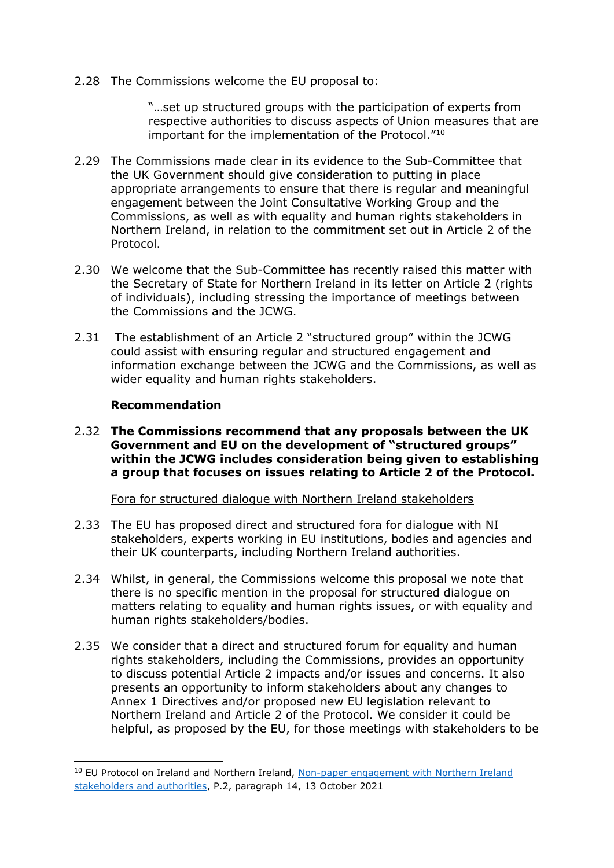2.28 The Commissions welcome the EU proposal to:

"…set up structured groups with the participation of experts from respective authorities to discuss aspects of Union measures that are important for the implementation of the Protocol."<sup>10</sup>

- 2.29 The Commissions made clear in its evidence to the Sub-Committee that the UK Government should give consideration to putting in place appropriate arrangements to ensure that there is regular and meaningful engagement between the Joint Consultative Working Group and the Commissions, as well as with equality and human rights stakeholders in Northern Ireland, in relation to the commitment set out in Article 2 of the Protocol.
- 2.30 We welcome that the Sub-Committee has recently raised this matter with the Secretary of State for Northern Ireland in its letter on Article 2 (rights of individuals), including stressing the importance of meetings between the Commissions and the JCWG.
- 2.31 The establishment of an Article 2 "structured group" within the JCWG could assist with ensuring regular and structured engagement and information exchange between the JCWG and the Commissions, as well as wider equality and human rights stakeholders.

#### **Recommendation**

**.** 

2.32 **The Commissions recommend that any proposals between the UK Government and EU on the development of "structured groups" within the JCWG includes consideration being given to establishing a group that focuses on issues relating to Article 2 of the Protocol.**

Fora for structured dialogue with Northern Ireland stakeholders

- 2.33 The EU has proposed direct and structured fora for dialogue with NI stakeholders, experts working in EU institutions, bodies and agencies and their UK counterparts, including Northern Ireland authorities.
- 2.34 Whilst, in general, the Commissions welcome this proposal we note that there is no specific mention in the proposal for structured dialogue on matters relating to equality and human rights issues, or with equality and human rights stakeholders/bodies.
- 2.35 We consider that a direct and structured forum for equality and human rights stakeholders, including the Commissions, provides an opportunity to discuss potential Article 2 impacts and/or issues and concerns. It also presents an opportunity to inform stakeholders about any changes to Annex 1 Directives and/or proposed new EU legislation relevant to Northern Ireland and Article 2 of the Protocol. We consider it could be helpful, as proposed by the EU, for those meetings with stakeholders to be

<sup>&</sup>lt;sup>10</sup> EU Protocol on Ireland and Northern Ireland, Non-paper engagement with Northern Ireland [stakeholders and authorities,](https://ec.europa.eu/info/system/files/attachment_iv_ni_participation_non-paper.pdf) P.2, paragraph 14, 13 October 2021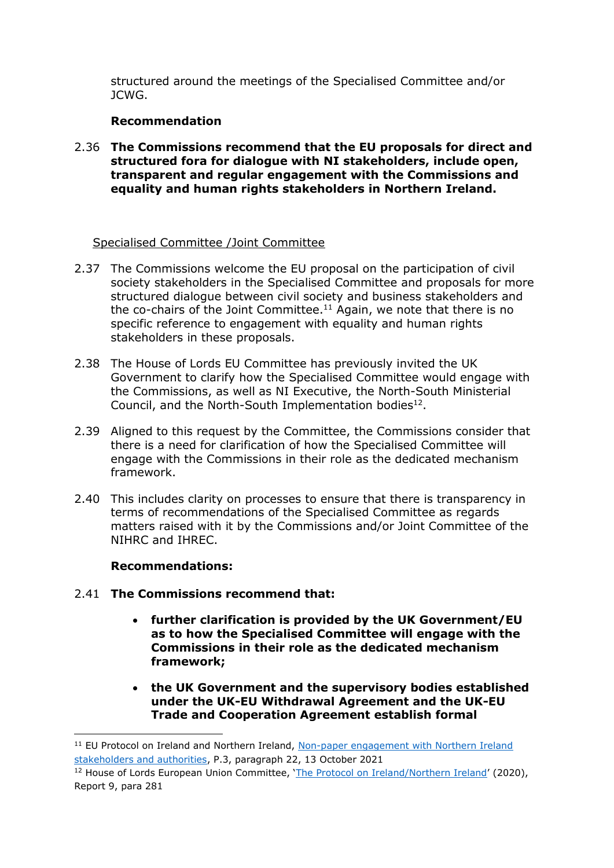structured around the meetings of the Specialised Committee and/or JCWG.

# **Recommendation**

2.36 **The Commissions recommend that the EU proposals for direct and structured fora for dialogue with NI stakeholders, include open, transparent and regular engagement with the Commissions and equality and human rights stakeholders in Northern Ireland.** 

# Specialised Committee /Joint Committee

- 2.37 The Commissions welcome the EU proposal on the participation of civil society stakeholders in the Specialised Committee and proposals for more structured dialogue between civil society and business stakeholders and the co-chairs of the Joint Committee.<sup>11</sup> Again, we note that there is no specific reference to engagement with equality and human rights stakeholders in these proposals.
- 2.38 The House of Lords EU Committee has previously invited the UK Government to clarify how the Specialised Committee would engage with the Commissions, as well as NI Executive, the North-South Ministerial Council, and the North-South Implementation bodies $^{12}$ .
- 2.39 Aligned to this request by the Committee, the Commissions consider that there is a need for clarification of how the Specialised Committee will engage with the Commissions in their role as the dedicated mechanism framework.
- 2.40 This includes clarity on processes to ensure that there is transparency in terms of recommendations of the Specialised Committee as regards matters raised with it by the Commissions and/or Joint Committee of the NIHRC and IHREC.

# **Recommendations:**

 $\overline{a}$ 

- 2.41 **The Commissions recommend that:**
	- **further clarification is provided by the UK Government/EU as to how the Specialised Committee will engage with the Commissions in their role as the dedicated mechanism framework;**
	- **the UK Government and the supervisory bodies established under the UK-EU Withdrawal Agreement and the UK-EU Trade and Cooperation Agreement establish formal**

<sup>&</sup>lt;sup>11</sup> EU Protocol on Ireland and Northern Ireland, Non-paper engagement with Northern Ireland [stakeholders and authorities,](https://ec.europa.eu/info/system/files/attachment_iv_ni_participation_non-paper.pdf) P.3, paragraph 22, 13 October 2021

<sup>&</sup>lt;sup>12</sup> House of Lords European Union Committee, '[The Protocol on Ireland/Northern Ireland](https://committees.parliament.uk/publications/1282/documents/11395/default/)' (2020), Report 9, para 281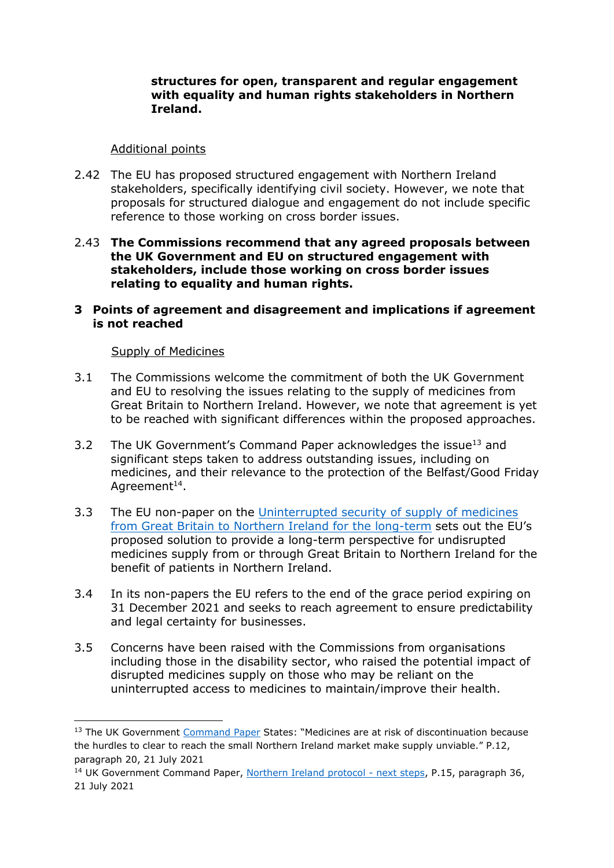#### **structures for open, transparent and regular engagement with equality and human rights stakeholders in Northern Ireland.**

### Additional points

- 2.42 The EU has proposed structured engagement with Northern Ireland stakeholders, specifically identifying civil society. However, we note that proposals for structured dialogue and engagement do not include specific reference to those working on cross border issues.
- 2.43 **The Commissions recommend that any agreed proposals between the UK Government and EU on structured engagement with stakeholders, include those working on cross border issues relating to equality and human rights.**
- **3 Points of agreement and disagreement and implications if agreement is not reached**

#### Supply of Medicines

**.** 

- 3.1 The Commissions welcome the commitment of both the UK Government and EU to resolving the issues relating to the supply of medicines from Great Britain to Northern Ireland. However, we note that agreement is yet to be reached with significant differences within the proposed approaches.
- 3.2 The UK Government's Command Paper acknowledges the issue<sup>13</sup> and significant steps taken to address outstanding issues, including on medicines, and their relevance to the protection of the Belfast/Good Friday Agreement $^{14}$ .
- 3.3 The EU non-paper on the Uninterrupted security of supply of medicines [from Great Britain to Northern Ireland for the long-term](https://ec.europa.eu/info/files/protocol-ireland-and-nothern-ireland-non-paper-medicines_en) sets out the EU's proposed solution to provide a long-term perspective for undisrupted medicines supply from or through Great Britain to Northern Ireland for the benefit of patients in Northern Ireland.
- 3.4 In its non-papers the EU refers to the end of the grace period expiring on 31 December 2021 and seeks to reach agreement to ensure predictability and legal certainty for businesses.
- 3.5 Concerns have been raised with the Commissions from organisations including those in the disability sector, who raised the potential impact of disrupted medicines supply on those who may be reliant on the uninterrupted access to medicines to maintain/improve their health.

<sup>&</sup>lt;sup>13</sup> The UK Government [Command Paper](https://www.gov.uk/government/publications/northern-ireland-protocol-next-steps) States: "Medicines are at risk of discontinuation because the hurdles to clear to reach the small Northern Ireland market make supply unviable." P.12, paragraph 20, 21 July 2021

<sup>&</sup>lt;sup>14</sup> UK Government Command Paper, [Northern Ireland protocol -](https://www.gov.uk/government/publications/northern-ireland-protocol-next-steps) next steps, P.15, paragraph 36, 21 July 2021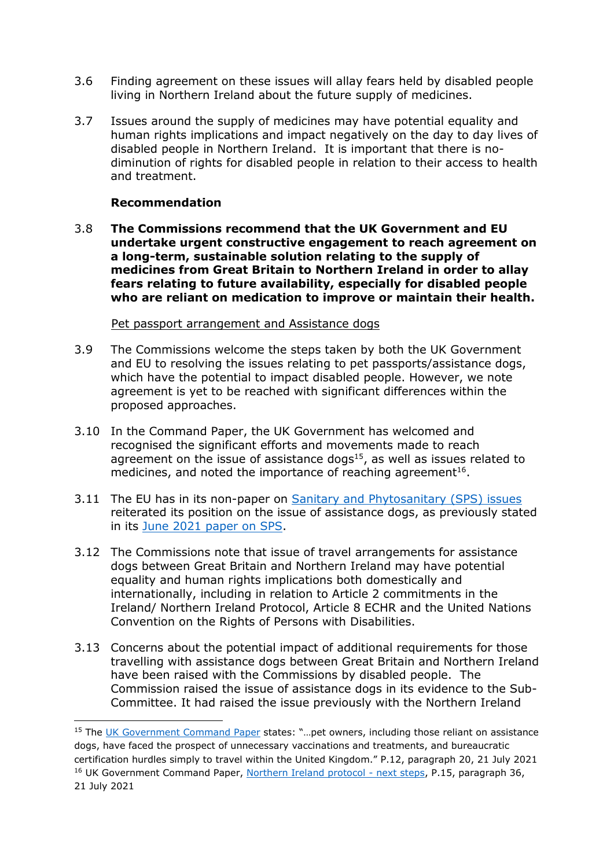- 3.6 Finding agreement on these issues will allay fears held by disabled people living in Northern Ireland about the future supply of medicines.
- 3.7 Issues around the supply of medicines may have potential equality and human rights implications and impact negatively on the day to day lives of disabled people in Northern Ireland. It is important that there is nodiminution of rights for disabled people in relation to their access to health and treatment.

#### **Recommendation**

**.** 

3.8 **The Commissions recommend that the UK Government and EU undertake urgent constructive engagement to reach agreement on a long-term, sustainable solution relating to the supply of medicines from Great Britain to Northern Ireland in order to allay fears relating to future availability, especially for disabled people who are reliant on medication to improve or maintain their health.**

#### Pet passport arrangement and Assistance dogs

- 3.9 The Commissions welcome the steps taken by both the UK Government and EU to resolving the issues relating to pet passports/assistance dogs, which have the potential to impact disabled people. However, we note agreement is yet to be reached with significant differences within the proposed approaches.
- 3.10 In the Command Paper, the UK Government has welcomed and recognised the significant efforts and movements made to reach agreement on the issue of assistance dogs $15$ , as well as issues related to medicines, and noted the importance of reaching agreement<sup>16</sup>.
- 3.11 The EU has in its non-paper on [Sanitary and Phytosanitary \(SPS\) issues](https://ec.europa.eu/info/system/files/attachment_ii_sps_non_paper.pdf) reiterated its position on the issue of assistance dogs, as previously stated in its [June 2021 paper on SPS.](https://ec.europa.eu/info/sites/default/files/eu-non-paper-identified-solutions-in-the-sps-area_en.pdf)
- 3.12 The Commissions note that issue of travel arrangements for assistance dogs between Great Britain and Northern Ireland may have potential equality and human rights implications both domestically and internationally, including in relation to Article 2 commitments in the Ireland/ Northern Ireland Protocol, Article 8 ECHR and the United Nations Convention on the Rights of Persons with Disabilities.
- 3.13 Concerns about the potential impact of additional requirements for those travelling with assistance dogs between Great Britain and Northern Ireland have been raised with the Commissions by disabled people. The Commission raised the issue of assistance dogs in its evidence to the Sub-Committee. It had raised the issue previously with the Northern Ireland

<sup>&</sup>lt;sup>15</sup> The [UK Government Command Paper](https://www.gov.uk/government/publications/northern-ireland-protocol-next-steps) states: "...pet owners, including those reliant on assistance dogs, have faced the prospect of unnecessary vaccinations and treatments, and bureaucratic certification hurdles simply to travel within the United Kingdom." P.12, paragraph 20, 21 July 2021 <sup>16</sup> UK Government Command Paper, [Northern Ireland protocol -](https://www.gov.uk/government/publications/northern-ireland-protocol-next-steps) next steps, P.15, paragraph 36, 21 July 2021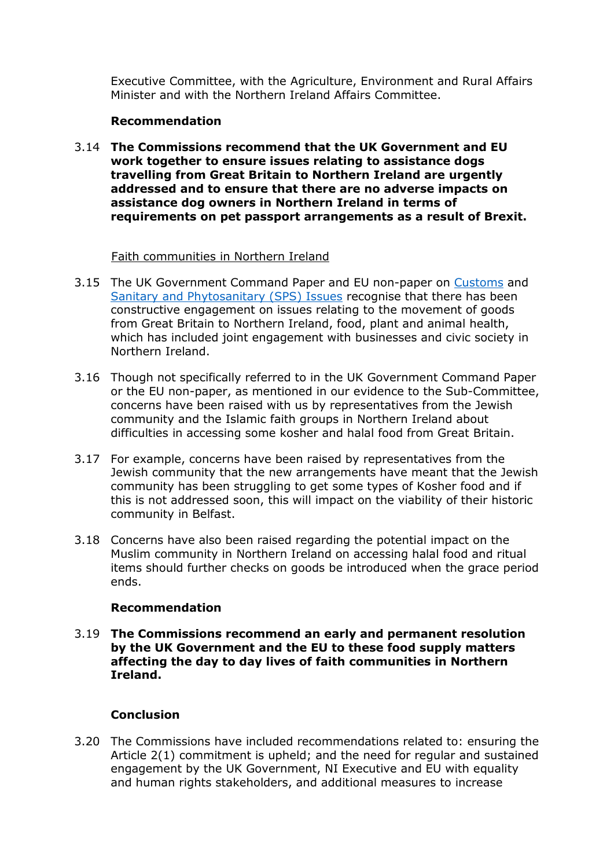Executive Committee, with the Agriculture, Environment and Rural Affairs Minister and with the Northern Ireland Affairs Committee.

# **Recommendation**

3.14 **The Commissions recommend that the UK Government and EU work together to ensure issues relating to assistance dogs travelling from Great Britain to Northern Ireland are urgently addressed and to ensure that there are no adverse impacts on assistance dog owners in Northern Ireland in terms of requirements on pet passport arrangements as a result of Brexit.**

#### Faith communities in Northern Ireland

- 3.15 The UK Government Command Paper and EU non-paper on [Customs](https://ec.europa.eu/info/system/files/attachment_iii_customs_non-paper.pdf) and [Sanitary and Phytosanitary \(SPS\) Issues](https://ec.europa.eu/info/system/files/attachment_ii_sps_non_paper.pdf) recognise that there has been constructive engagement on issues relating to the movement of goods from Great Britain to Northern Ireland, food, plant and animal health, which has included joint engagement with businesses and civic society in Northern Ireland.
- 3.16 Though not specifically referred to in the UK Government Command Paper or the EU non-paper, as mentioned in our evidence to the Sub-Committee, concerns have been raised with us by representatives from the Jewish community and the Islamic faith groups in Northern Ireland about difficulties in accessing some kosher and halal food from Great Britain.
- 3.17 For example, concerns have been raised by representatives from the Jewish community that the new arrangements have meant that the Jewish community has been struggling to get some types of Kosher food and if this is not addressed soon, this will impact on the viability of their historic community in Belfast.
- 3.18 Concerns have also been raised regarding the potential impact on the Muslim community in Northern Ireland on accessing halal food and ritual items should further checks on goods be introduced when the grace period ends.

# **Recommendation**

3.19 **The Commissions recommend an early and permanent resolution by the UK Government and the EU to these food supply matters affecting the day to day lives of faith communities in Northern Ireland.**

# **Conclusion**

3.20 The Commissions have included recommendations related to: ensuring the Article 2(1) commitment is upheld; and the need for regular and sustained engagement by the UK Government, NI Executive and EU with equality and human rights stakeholders, and additional measures to increase